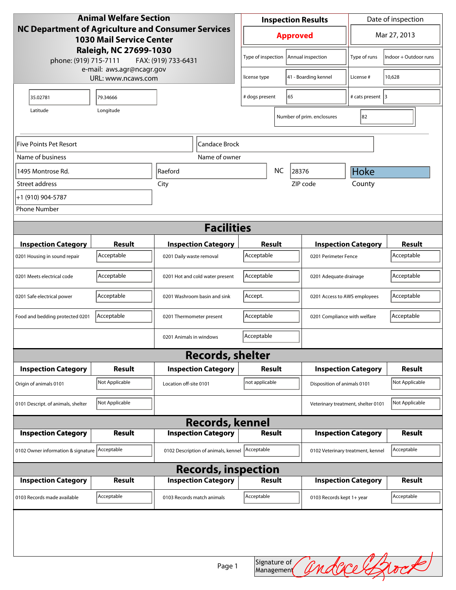| <b>Animal Welfare Section</b>                                                                       |                |                                     | <b>Inspection Results</b> |                                    |                                   | Date of inspection          |                |  |
|-----------------------------------------------------------------------------------------------------|----------------|-------------------------------------|---------------------------|------------------------------------|-----------------------------------|-----------------------------|----------------|--|
| <b>NC Department of Agriculture and Consumer Services</b><br><b>1030 Mail Service Center</b>        |                |                                     |                           | <b>Approved</b>                    |                                   |                             | Mar 27, 2013   |  |
| Raleigh, NC 27699-1030<br>phone: (919) 715-7111<br>FAX: (919) 733-6431<br>e-mail: aws.agr@ncagr.gov |                | Type of inspection                  | Annual inspection         |                                    | Type of runs                      | Indoor + Outdoor runs       |                |  |
| URL: www.ncaws.com                                                                                  |                | license type                        | 41 - Boarding kennel      |                                    | License #                         | 10,628                      |                |  |
| 35.02781                                                                                            | 79.34666       |                                     | # dogs present            | 65                                 |                                   | # cats present 3            |                |  |
| Latitude                                                                                            | Longitude      |                                     |                           | Number of prim. enclosures         |                                   | 82                          |                |  |
|                                                                                                     |                |                                     |                           |                                    |                                   |                             |                |  |
| Five Points Pet Resort<br>Candace Brock                                                             |                |                                     |                           |                                    |                                   |                             |                |  |
| Name of business                                                                                    |                | Name of owner                       |                           |                                    |                                   |                             |                |  |
| 1495 Montrose Rd.                                                                                   |                | Raeford                             |                           | <b>NC</b><br>28376                 |                                   | Hoke                        |                |  |
| Street address                                                                                      |                | City                                |                           | ZIP code                           |                                   | County                      |                |  |
| +1 (910) 904-5787                                                                                   |                |                                     |                           |                                    |                                   |                             |                |  |
| <b>Phone Number</b>                                                                                 |                |                                     |                           |                                    |                                   |                             |                |  |
| <b>Facilities</b>                                                                                   |                |                                     |                           |                                    |                                   |                             |                |  |
| <b>Inspection Category</b>                                                                          | <b>Result</b>  | <b>Inspection Category</b>          | Result                    |                                    |                                   | <b>Inspection Category</b>  | <b>Result</b>  |  |
| 0201 Housing in sound repair                                                                        | Acceptable     | 0201 Daily waste removal            | Acceptable                |                                    | 0201 Perimeter Fence              |                             | Acceptable     |  |
| 0201 Meets electrical code                                                                          | Acceptable     | 0201 Hot and cold water present     | Acceptable                |                                    | 0201 Adequate drainage            |                             | Acceptable     |  |
| 0201 Safe electrical power                                                                          | Acceptable     | 0201 Washroom basin and sink        | Accept.                   |                                    | 0201 Access to AWS employees      |                             | Acceptable     |  |
| Food and bedding protected 0201                                                                     | Acceptable     | 0201 Thermometer present            | Acceptable                |                                    | 0201 Compliance with welfare      |                             | Acceptable     |  |
|                                                                                                     |                | 0201 Animals in windows             | Acceptable                |                                    |                                   |                             |                |  |
|                                                                                                     |                | <b>Records, shelter</b>             |                           |                                    |                                   |                             |                |  |
| <b>Inspection Category</b>                                                                          | <b>Result</b>  | <b>Inspection Category</b>          | Result                    |                                    |                                   | <b>Inspection Category</b>  | <b>Result</b>  |  |
| Origin of animals 0101                                                                              | Not Applicable | Location off-site 0101              | not applicable            |                                    |                                   | Disposition of animals 0101 |                |  |
| 0101 Descript. of animals, shelter                                                                  | Not Applicable |                                     |                           | Veterinary treatment, shelter 0101 |                                   |                             | Not Applicable |  |
|                                                                                                     |                | <b>Records, kennel</b>              |                           |                                    |                                   |                             |                |  |
| <b>Inspection Category</b>                                                                          | Result         | <b>Inspection Category</b>          | Result                    |                                    |                                   | <b>Inspection Category</b>  | <b>Result</b>  |  |
| 0102 Owner information & signature Acceptable                                                       |                | 0102 Description of animals, kennel | Acceptable                |                                    | 0102 Veterinary treatment, kennel |                             | Acceptable     |  |
| <b>Records, inspection</b>                                                                          |                |                                     |                           |                                    |                                   |                             |                |  |
| <b>Inspection Category</b>                                                                          | Result         | <b>Inspection Category</b>          | <b>Result</b>             |                                    |                                   | <b>Inspection Category</b>  | <b>Result</b>  |  |
| 0103 Records made available                                                                         | Acceptable     | 0103 Records match animals          | Acceptable                |                                    | 0103 Records kept 1+ year         |                             | Acceptable     |  |
|                                                                                                     |                | Page 1                              | Signature of              |                                    |                                   |                             | andace Brock   |  |
|                                                                                                     |                |                                     | Management                |                                    |                                   |                             |                |  |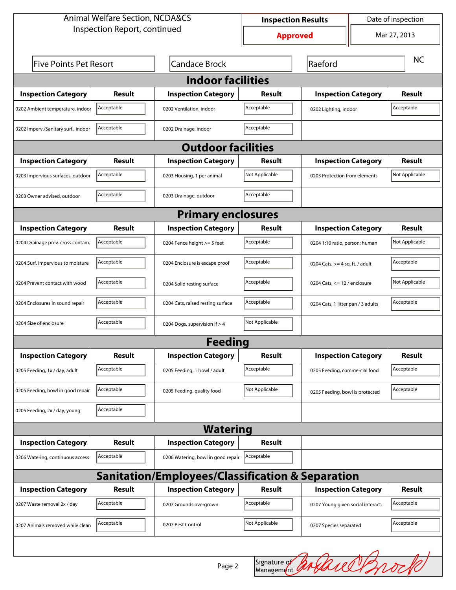| <b>Animal Welfare Section, NCDA&amp;CS</b>                  |                              |                                    | Date of inspection<br><b>Inspection Results</b> |                                    |  |                |  |  |
|-------------------------------------------------------------|------------------------------|------------------------------------|-------------------------------------------------|------------------------------------|--|----------------|--|--|
|                                                             | Inspection Report, continued |                                    | <b>Approved</b>                                 |                                    |  | Mar 27, 2013   |  |  |
| <b>Five Points Pet Resort</b>                               |                              | <b>Candace Brock</b>               | Raeford                                         |                                    |  | <b>NC</b>      |  |  |
| <b>Indoor facilities</b>                                    |                              |                                    |                                                 |                                    |  |                |  |  |
| <b>Inspection Category</b>                                  | Result                       | <b>Inspection Category</b>         | Result                                          | <b>Inspection Category</b>         |  | Result         |  |  |
| 0202 Ambient temperature, indoor                            | Acceptable                   | 0202 Ventilation, indoor           | Acceptable                                      | 0202 Lighting, indoor              |  | Acceptable     |  |  |
| 0202 Imperv./Sanitary surf., indoor                         | Acceptable                   | 0202 Drainage, indoor              | Acceptable                                      |                                    |  |                |  |  |
| <b>Outdoor facilities</b>                                   |                              |                                    |                                                 |                                    |  |                |  |  |
| <b>Inspection Category</b>                                  | Result                       | <b>Inspection Category</b>         | Result                                          | <b>Inspection Category</b>         |  | Result         |  |  |
| 0203 Impervious surfaces, outdoor                           | Acceptable                   | 0203 Housing, 1 per animal         | Not Applicable                                  | 0203 Protection from elements      |  | Not Applicable |  |  |
| 0203 Owner advised, outdoor                                 | Acceptable                   | 0203 Drainage, outdoor             | Acceptable                                      |                                    |  |                |  |  |
| <b>Primary enclosures</b>                                   |                              |                                    |                                                 |                                    |  |                |  |  |
| <b>Inspection Category</b>                                  | Result                       | <b>Inspection Category</b>         | Result                                          | <b>Inspection Category</b>         |  | Result         |  |  |
| 0204 Drainage prev. cross contam.                           | Acceptable                   | 0204 Fence height >= 5 feet        | Acceptable                                      | 0204 1:10 ratio, person: human     |  | Not Applicable |  |  |
| 0204 Surf. impervious to moisture                           | Acceptable                   | 0204 Enclosure is escape proof     | Acceptable                                      | 0204 Cats, $>=$ 4 sq. ft. / adult  |  | Acceptable     |  |  |
| 0204 Prevent contact with wood                              | Acceptable                   | 0204 Solid resting surface         | Acceptable                                      | 0204 Cats, $<= 12$ / enclosure     |  | Not Applicable |  |  |
| 0204 Enclosures in sound repair                             | Acceptable                   | 0204 Cats, raised resting surface  | Acceptable                                      | 0204 Cats, 1 litter pan / 3 adults |  | Acceptable     |  |  |
| 0204 Size of enclosure                                      | Acceptable                   | 0204 Dogs, supervision if > 4      | Not Applicable                                  |                                    |  |                |  |  |
|                                                             |                              | <b>Feeding</b>                     |                                                 |                                    |  |                |  |  |
| <b>Inspection Category</b>                                  | <b>Result</b>                | <b>Inspection Category</b>         | <b>Result</b>                                   | <b>Inspection Category</b>         |  | <b>Result</b>  |  |  |
| 0205 Feeding, 1x / day, adult                               | Acceptable                   | 0205 Feeding, 1 bowl / adult       | Acceptable                                      | 0205 Feeding, commercial food      |  | Acceptable     |  |  |
| 0205 Feeding, bowl in good repair                           | Acceptable                   | 0205 Feeding, quality food         | Not Applicable                                  | 0205 Feeding, bowl is protected    |  | Acceptable     |  |  |
| 0205 Feeding, 2x / day, young                               | Acceptable                   |                                    |                                                 |                                    |  |                |  |  |
| <b>Watering</b>                                             |                              |                                    |                                                 |                                    |  |                |  |  |
| <b>Inspection Category</b>                                  | <b>Result</b>                | <b>Inspection Category</b>         | <b>Result</b>                                   |                                    |  |                |  |  |
| 0206 Watering, continuous access                            | Acceptable                   | 0206 Watering, bowl in good repair | Acceptable                                      |                                    |  |                |  |  |
| <b>Sanitation/Employees/Classification &amp; Separation</b> |                              |                                    |                                                 |                                    |  |                |  |  |
| <b>Inspection Category</b>                                  | <b>Result</b>                | <b>Inspection Category</b>         | <b>Result</b>                                   | <b>Inspection Category</b>         |  | <b>Result</b>  |  |  |
| 0207 Waste removal 2x / day                                 | Acceptable                   | 0207 Grounds overgrown             | Acceptable                                      | 0207 Young given social interact.  |  | Acceptable     |  |  |
| 0207 Animals removed while clean                            | Acceptable                   | 0207 Pest Control                  | Not Applicable                                  | 0207 Species separated             |  | Acceptable     |  |  |
|                                                             |                              |                                    |                                                 |                                    |  |                |  |  |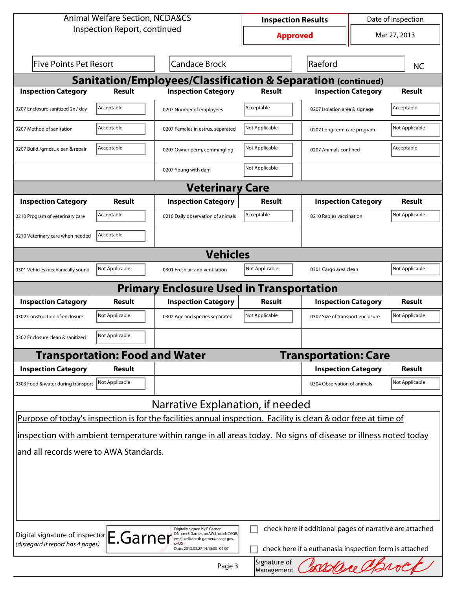| <b>Animal Welfare Section, NCDA&amp;CS</b>                                                                                                                                                                    |                                                                                                                                  | Date of inspection<br><b>Inspection Results</b>                                                                 |                |                                  |  |                |  |
|---------------------------------------------------------------------------------------------------------------------------------------------------------------------------------------------------------------|----------------------------------------------------------------------------------------------------------------------------------|-----------------------------------------------------------------------------------------------------------------|----------------|----------------------------------|--|----------------|--|
| Inspection Report, continued                                                                                                                                                                                  |                                                                                                                                  | <b>Approved</b>                                                                                                 |                | Mar 27, 2013                     |  |                |  |
| <b>Five Points Pet Resort</b>                                                                                                                                                                                 |                                                                                                                                  | <b>Candace Brock</b>                                                                                            | Raeford        |                                  |  | <b>NC</b>      |  |
|                                                                                                                                                                                                               |                                                                                                                                  | Sanitation/Employees/Classification & Separation (continued)                                                    |                |                                  |  |                |  |
| <b>Inspection Category</b>                                                                                                                                                                                    | <b>Result</b>                                                                                                                    | <b>Inspection Category</b>                                                                                      | Result         | <b>Inspection Category</b>       |  | <b>Result</b>  |  |
| 0207 Enclosure sanitized 2x / day                                                                                                                                                                             | Acceptable                                                                                                                       | 0207 Number of employees                                                                                        | Acceptable     | 0207 Isolation area & signage    |  | Acceptable     |  |
| 0207 Method of sanitation                                                                                                                                                                                     | Acceptable                                                                                                                       | 0207 Females in estrus, separated                                                                               | Not Applicable | 0207 Long term care program      |  | Not Applicable |  |
| 0207 Build./grnds., clean & repair                                                                                                                                                                            | Acceptable                                                                                                                       | 0207 Owner perm, commingling                                                                                    | Not Applicable | 0207 Animals confined            |  | Acceptable     |  |
|                                                                                                                                                                                                               |                                                                                                                                  | 0207 Young with dam                                                                                             | Not Applicable |                                  |  |                |  |
|                                                                                                                                                                                                               |                                                                                                                                  | <b>Veterinary Care</b>                                                                                          |                |                                  |  |                |  |
| <b>Inspection Category</b>                                                                                                                                                                                    | Result                                                                                                                           | <b>Inspection Category</b>                                                                                      | <b>Result</b>  | <b>Inspection Category</b>       |  | <b>Result</b>  |  |
| 0210 Program of veterinary care                                                                                                                                                                               | Acceptable                                                                                                                       | 0210 Daily observation of animals                                                                               | Acceptable     | 0210 Rabies vaccination          |  | Not Applicable |  |
| 0210 Veterinary care when needed                                                                                                                                                                              | Acceptable                                                                                                                       |                                                                                                                 |                |                                  |  |                |  |
| <b>Vehicles</b>                                                                                                                                                                                               |                                                                                                                                  |                                                                                                                 |                |                                  |  |                |  |
| 0301 Vehicles mechanically sound                                                                                                                                                                              | Not Applicable                                                                                                                   | 0301 Fresh air and ventilation                                                                                  | Not Applicable | 0301 Cargo area clean            |  | Not Applicable |  |
|                                                                                                                                                                                                               | <b>Primary</b>                                                                                                                   | <b>Enclosure Used in Transportation</b>                                                                         |                |                                  |  |                |  |
| <b>Inspection Category</b>                                                                                                                                                                                    | <b>Result</b>                                                                                                                    | <b>Inspection Category</b>                                                                                      | Result         | <b>Inspection Category</b>       |  | <b>Result</b>  |  |
| 0302 Construction of enclosure                                                                                                                                                                                | Not Applicable                                                                                                                   | 0302 Age and species separated                                                                                  | Not Applicable | 0302 Size of transport enclosure |  | Not Applicable |  |
| 0302 Enclosure clean & sanitized                                                                                                                                                                              | Not Applicable                                                                                                                   |                                                                                                                 |                |                                  |  |                |  |
|                                                                                                                                                                                                               | <b>Transportation: Food and Water</b>                                                                                            |                                                                                                                 |                | <b>Transportation: Care</b>      |  |                |  |
| <b>Inspection Category</b>                                                                                                                                                                                    | <b>Result</b>                                                                                                                    |                                                                                                                 |                | <b>Inspection Category</b>       |  | <b>Result</b>  |  |
| 0303 Food & water during transport                                                                                                                                                                            | Not Applicable                                                                                                                   |                                                                                                                 |                | 0304 Observation of animals      |  | Not Applicable |  |
|                                                                                                                                                                                                               |                                                                                                                                  | Narrative Explanation, if needed                                                                                |                |                                  |  |                |  |
|                                                                                                                                                                                                               |                                                                                                                                  | Purpose of today's inspection is for the facilities annual inspection. Facility is clean & odor free at time of |                |                                  |  |                |  |
|                                                                                                                                                                                                               |                                                                                                                                  | inspection with ambient temperature within range in all areas today. No signs of disease or illness noted today |                |                                  |  |                |  |
| and all records were to AWA Standards.                                                                                                                                                                        |                                                                                                                                  |                                                                                                                 |                |                                  |  |                |  |
|                                                                                                                                                                                                               |                                                                                                                                  |                                                                                                                 |                |                                  |  |                |  |
|                                                                                                                                                                                                               |                                                                                                                                  |                                                                                                                 |                |                                  |  |                |  |
|                                                                                                                                                                                                               |                                                                                                                                  |                                                                                                                 |                |                                  |  |                |  |
|                                                                                                                                                                                                               |                                                                                                                                  |                                                                                                                 |                |                                  |  |                |  |
| check here if additional pages of narrative are attached<br>Digitally signed by E.Garner<br>Digital signature of inspector E.Garner<br>DN: cn=E.Garner, o=AWS, ou=NCAGR,<br>email=elizabeth.garner@ncagr.gov, |                                                                                                                                  |                                                                                                                 |                |                                  |  |                |  |
|                                                                                                                                                                                                               | (disregard if report has 4 pages)<br>check here if a euthanasia inspection form is attached<br>Date: 2013.03.27 14:15:00 -04'00' |                                                                                                                 |                |                                  |  |                |  |
|                                                                                                                                                                                                               | Signature of<br>EXECUTE C<br>Page 3<br>Management                                                                                |                                                                                                                 |                |                                  |  |                |  |